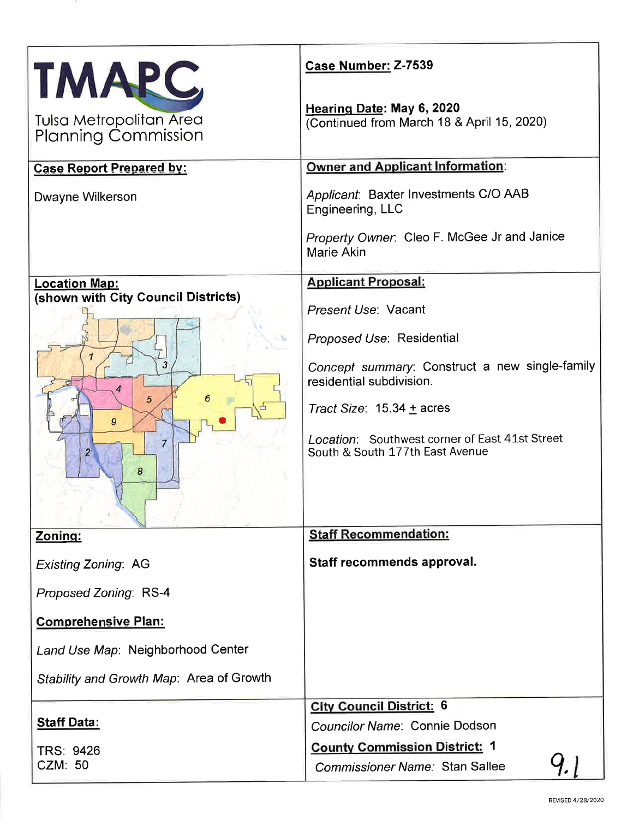| TMARC                                                 | Case Number: Z-7539                                                               |  |  |
|-------------------------------------------------------|-----------------------------------------------------------------------------------|--|--|
| Tulsa Metropolitan Area<br><b>Planning Commission</b> | Hearing Date: May 6, 2020<br>(Continued from March 18 & April 15, 2020)           |  |  |
| <b>Case Report Prepared by:</b>                       | <b>Owner and Applicant Information:</b>                                           |  |  |
| Dwayne Wilkerson                                      | Applicant: Baxter Investments C/O AAB<br>Engineering, LLC                         |  |  |
|                                                       | Property Owner. Cleo F. McGee Jr and Janice<br><b>Marie Akin</b>                  |  |  |
| <b>Location Map:</b>                                  | <b>Applicant Proposal:</b>                                                        |  |  |
| (shown with City Council Districts)                   | Present Use: Vacant                                                               |  |  |
|                                                       | Proposed Use: Residential                                                         |  |  |
| 3                                                     | Concept summary: Construct a new single-family<br>residential subdivision.        |  |  |
| 5<br>$\mathbf{q}$                                     | Tract Size: $15.34 \pm$ acres                                                     |  |  |
| 7<br>8                                                | Location: Southwest corner of East 41st Street<br>South & South 177th East Avenue |  |  |
| Zoning:                                               | <b>Staff Recommendation:</b>                                                      |  |  |
| <b>Existing Zoning: AG</b>                            | Staff recommends approval.                                                        |  |  |
| Proposed Zoning: RS-4                                 |                                                                                   |  |  |
| <b>Comprehensive Plan:</b>                            |                                                                                   |  |  |
| Land Use Map: Neighborhood Center                     |                                                                                   |  |  |
| Stability and Growth Map: Area of Growth              |                                                                                   |  |  |
|                                                       | <b>City Council District: 6</b>                                                   |  |  |
| <b>Staff Data:</b>                                    | Councilor Name: Connie Dodson                                                     |  |  |
| <b>TRS: 9426</b>                                      | <b>County Commission District: 1</b>                                              |  |  |
| <b>CZM: 50</b>                                        | Commissioner Name: Stan Sallee                                                    |  |  |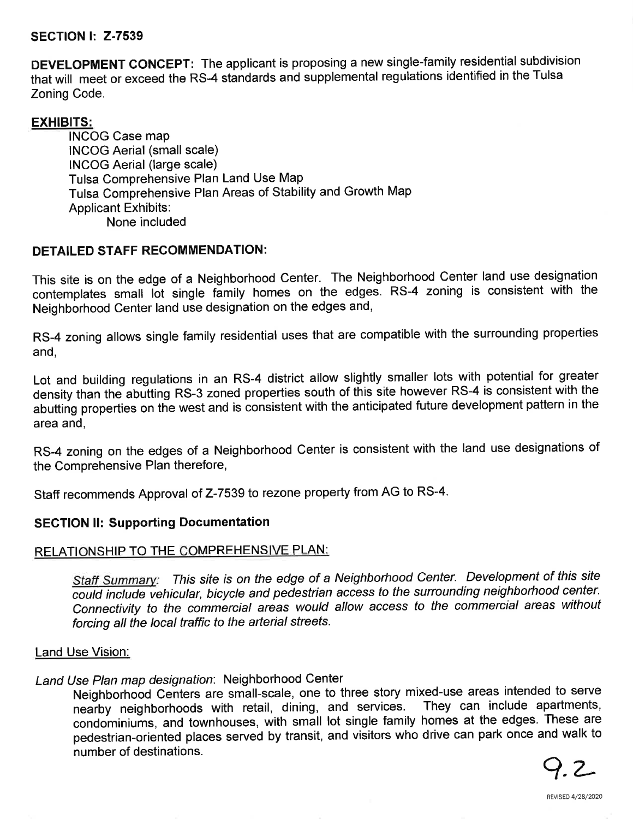### SECTION l: 2-7539

DEVELOPMENT CONCEPT: The applicant is proposing a new single-family residential subdivision that will meet or exceed the RS-4 standards and supplemental regulations identified in the Tulsa Zoning Code.

#### EXHIBITS:

¡NCOG Case map INCOG Aerial (small scale) INCOG Aerial (large scale) Tulsa Comprehensive Plan Land Use Map Tulsa comprehensive Plan Areas of stability and Growth Map Applicant Exhibits: None included

# DETAILED STAFF RECOMMENDATION:

This site is on the edge of a Neighborhood Center. The Neighborhood Center land use designation contemplates small lot single family homes on the edges. RS-4 zoning is consistent with the Neighborhood Center land use designation on the edges and,

RS-4 zoning allows single family residential uses that are compatible with the surrounding properties and,

Lot and building regulations in an RS-4 district allow slightly smaller lots with potential for greater density than the abutting RS-3 zoned properties south of this site however RS-4 is consistent with the abutting properties on the west and is consistent with the anticipated future development pattern in the area and,

RS-4 zoning on the edges of a Neighborhood Center is consistent with the land use designations of the Comprehensive Plan therefore,

Staff recommends Approval of 2-7539 to rezone property from AG to RS-4.

# SECTION ll: Supporting Documentation

#### RELATIONSHIP TO THE COMPREHENSIVE PLAN:

Staff Summary: This site is on the edge of a Neighborhood Center. Development of this site could include vehicular, bicycle and pedestrian access to the surrounding neighborhood center. Connectivity to the commercial areas would allow access to the commercial areas without forcing all the local traffic to the arterial streets.

#### Land Use Vision:

# Land Use Plan map designation: Neighborhood Center

Neighborhood Centers are small-scale, one to three story mixed-use areas intended to serve<br>nearby neighborhoods with retail, dining, and services. They can include apartments, nearby neighborhoods with retail, dining, and services. condominiums, and townhouses, with small lot single family homes at the edges. These are pedestrian-oriented places served by transit, and visitors who drive can park once and walk to number of destinations.

Q.L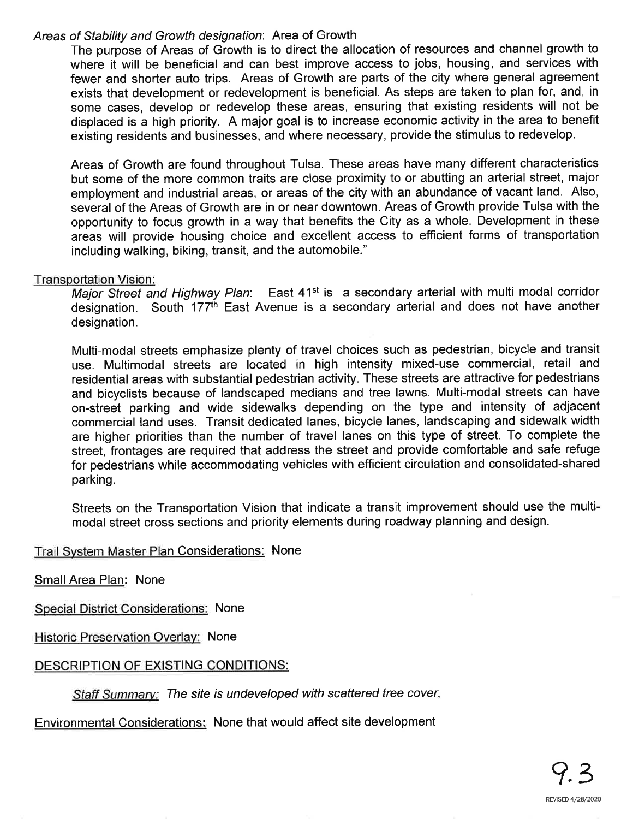## Areas of Stability and Growth designation: Area of Growth

The purpose of Areas of Growth is to direct the allocation of resources and channel growth to where it will be beneficial and can best improve access to jobs, housing, and services with fewer and shorter auto trips. Areas of Growth are parts of the city where general agreement exists that development or redevelopment is beneficial. As steps are taken to plan for, and, in some cases, develop or redevelop these areas, ensuring that existing residents will not be displaced is a high priority. A major goal is to increase economic activity in the area to benefit existing residents and businesses, and where necessary, provide the stimulus to redevelop.

Areas of Growth are found throughout Tulsa. These areas have many different characteristics but some of the more common traits are close proximity to or abutting an arterial street, major employment and industrial areas, or areas of the city with an abundance of vacant land. Also, several of the Areas of Growth are in or near downtown. Areas of Growth provide Tulsa with the opportunity to focus growth in a way that benefits the City as a whole. Development in these areas will provide housing choice and excellent access to efficient forms of transportation including walking, biking, transit, and the automobile."

### Transportation Vision :

Major Street and Highway Plan: East 41<sup>st</sup> is a secondary arterial with multi modal corridor designation. South 177th East Avenue is a secondary arterial and does not have another designation.

Multi-modal streets emphasize plenty of travel choices such as pedestrian, bicycle and transit use. Multimodal streets are located in high intensity mixed-use commercial, retail and residential areas with substantial pedestrian activity. These streets are attractive for pedestrians and bicyclists because of landscaped medians and tree lawns. Multi-modal streets can have on-street parking and wide sidewalks depending on the type and intensity of adjacent commercial land uses. Transit dedicated lanes, bicycle lanes, landscaping and sidewalk width are higher priorities than the number of travel lanes on this type of street. To complete the street, frontages are required that address the street and provide comfortable and safe refuge for pedestrians while accommodating vehicles with efficient circulation and consolidated-shared parking.

Streets on the Transportation Vision that indicate a transit improvement should use the multimodal street cross sections and priority elements during roadway planning and design.

#### Trail Svstem Master Plan Considerations: None

Small Area Plan: None

Special District Considerations: None

Historic Preservation Overlay: None

## DESCRIPTION OF EXISTING CONDITIONS:

Staff Summary: The site is undeveloped with scattered tree cover.

Environmental Considerations: None that would affect site development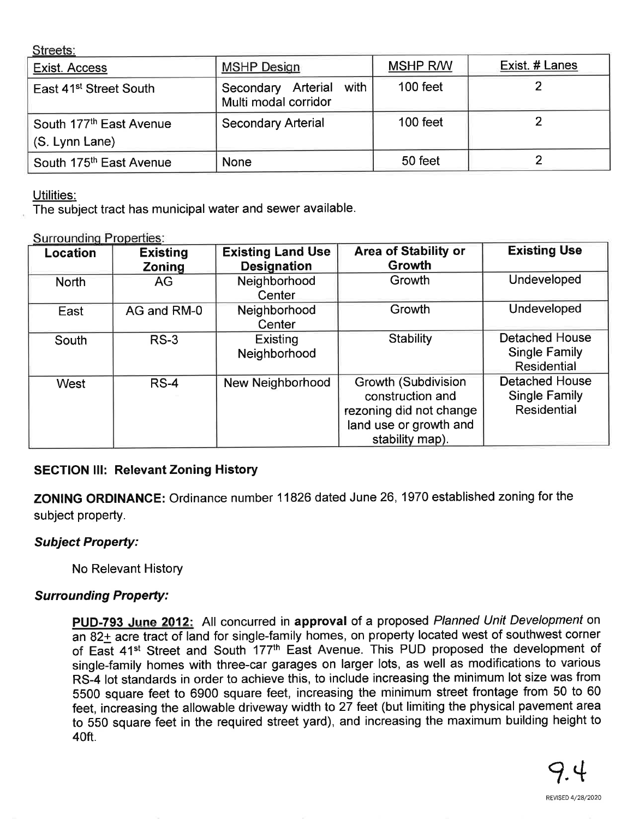Streets:

| Exist. Access                       | <b>MSHP Design</b>                                 | <b>MSHP R/W</b> | Exist. # Lanes |
|-------------------------------------|----------------------------------------------------|-----------------|----------------|
| East 41 <sup>st</sup> Street South  | with<br>Secondary Arterial<br>Multi modal corridor | $100$ feet      |                |
| South 177 <sup>th</sup> East Avenue | <b>Secondary Arterial</b>                          | $100$ feet      |                |
| (S. Lynn Lane)                      |                                                    |                 |                |
| South 175 <sup>th</sup> East Avenue | <b>None</b>                                        | 50 feet         |                |

Utilities:

The subject tract has municipal water and sewer available.

Surrounding Properties:

| Location     | <b>Existing</b><br><b>Zoning</b> | <b>Existing Land Use</b><br><b>Designation</b> | <b>Area of Stability or</b><br>Growth                                                                                  | <b>Existing Use</b>                                          |
|--------------|----------------------------------|------------------------------------------------|------------------------------------------------------------------------------------------------------------------------|--------------------------------------------------------------|
| <b>North</b> | AG                               | Neighborhood<br>Center                         | Growth                                                                                                                 | Undeveloped                                                  |
| East         | AG and RM-0                      | Neighborhood<br>Center                         | Growth                                                                                                                 | Undeveloped                                                  |
| South        | $RS-3$                           | Existing<br>Neighborhood                       | <b>Stability</b>                                                                                                       | <b>Detached House</b><br><b>Single Family</b><br>Residential |
| West         | $RS-4$                           | New Neighborhood                               | <b>Growth (Subdivision</b><br>construction and<br>rezoning did not change<br>land use or growth and<br>stability map). | <b>Detached House</b><br><b>Single Family</b><br>Residential |

## **SECTION III: Relevant Zoning History**

ZONING ORDINANCE: Ordinance number 11826 dated June 26, 1970 established zoning for the subject property.

# **Subject Property:**

No Relevant History

# **Surrounding Property:**

PUD-793 June 2012: All concurred in approval of a proposed Planned Unit Development on an 82+ acre tract of land for single-family homes, on property located west of southwest corner of East 41<sup>st</sup> Street and South 177<sup>th</sup> East Avenue. This PUD proposed the development of single-family homes with three-car garages on larger lots, as well as modifications to various RS-4 lot standards in order to achieve this, to include increasing the minimum lot size was from 5500 square feet to 6900 square feet, increasing the minimum street frontage from 50 to 60 feet, increasing the allowable driveway width to 27 feet (but limiting the physical pavement area to 550 square feet in the required street yard), and increasing the maximum building height to 40ft.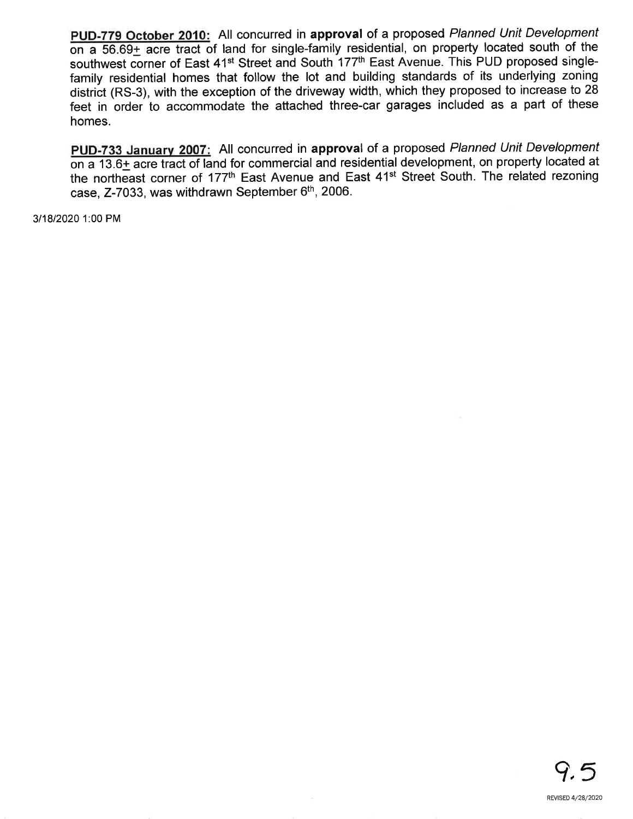PUD-779 October 2010: All concurred in approval of a proposed Planned Unit Development on a  $56.69<sub>±</sub>$  acre tract of land for single-family residential, on property located south of the southwest corner of East 41<sup>st</sup> Street and South 177<sup>th</sup> East Avenue. This PUD proposed singlefamily residential homes that follow the lot and building standards of its underlying zoning district (RS-3), with the exception of the driveway width, which they proposed to increase to 28 feet in order to accommodate the attached three-car garages included as a part of these homes.

PUD-733 January 2007: All concurred in approval of a proposed Planned Unit Development  $\overline{on a 13.6}$  acre tract of land for commercial and residential development, on property located at the northeast corner of 177th East Avenue and East 41st Street South. The related rezoning case, Z-7033, was withdrawn September 6<sup>th</sup>, 2006.

3118120201:00 PM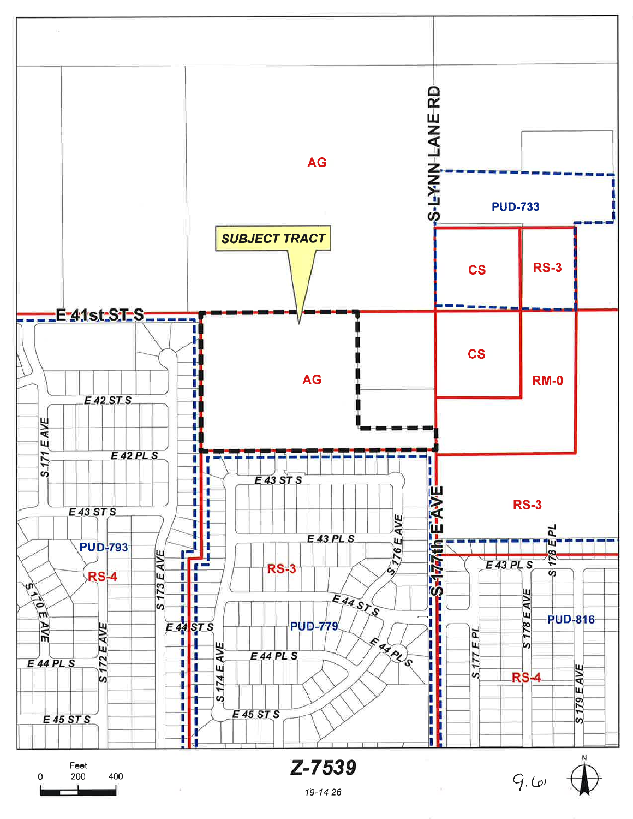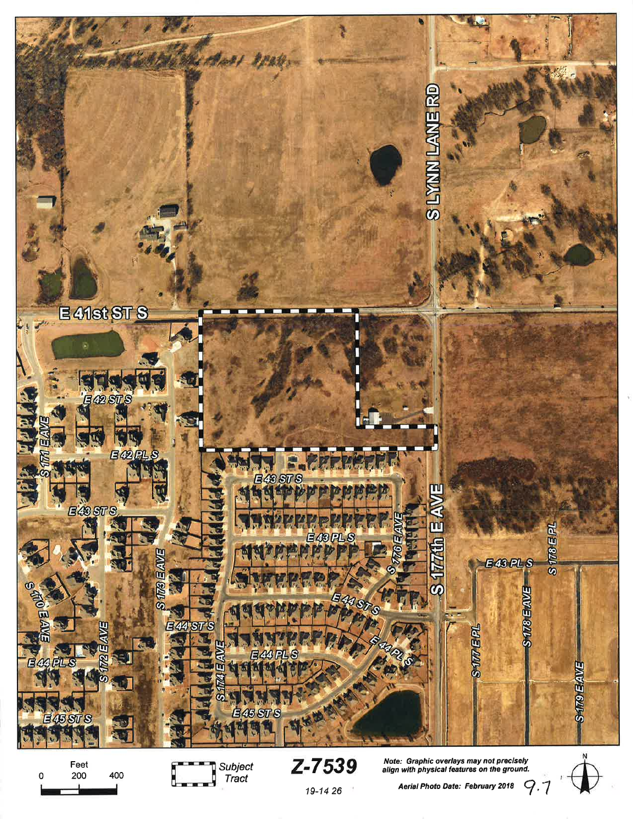



 ${\mathbf Z}$ – ${\mathbf 7539}$  Note: Graphic overlays may not precisely<br>align with physical features on the ground.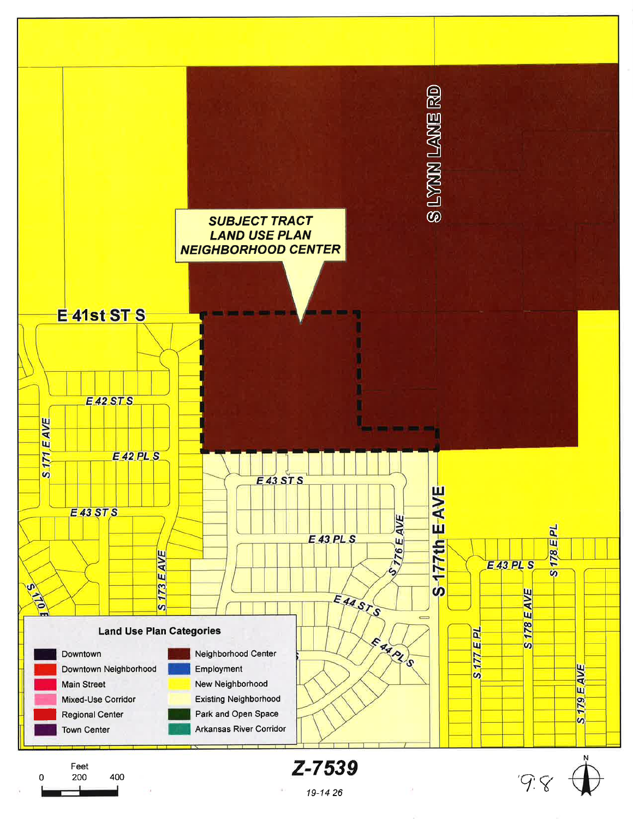

19-14-26